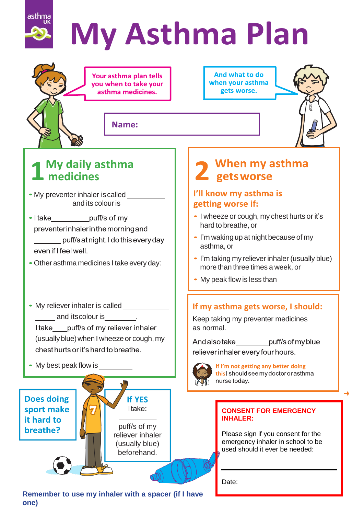

# **My Asthma Plan**

Your asthma plan tells you when to take your asthma medicines.

And what to do when your asthma gets worse.

Name:



### **1 medicines**

- My preventer inhaler is called \_\_\_\_\_\_\_\_\_\_ **and its colour is**
- I take\_**\_\_\_\_\_\_\_\_\_\_\_puff/s** of my<br>preventerinhalerin the morning and puff/s at night. I do this every day even if I feel well.
- Other asthma medicines I take every day:
- My reliever inhaler is called **with the UV and itscolour is** I take puff/s of my reliever inhaler (usually blue) when I wheeze or cough, my chest hurts or it's hard to breathe.
- My best peak flow is



**Remember to use my inhaler with a spacer (if I have one)**

### When my asthma 2 gets worse

### I'll know my asthma is getting worse if:

- I wheeze or cough, my chest hurts or it's hard to breathe, or
- I'm waking up at night because of my asthma, or
- I'm taking my reliever inhaler (usually blue) more than three times a week, or
- My peak flow is less than

### **If my asthma gets worse, I should:**

Keep taking my preventer medicines as normal.

And also take\_\_\_\_\_\_\_\_\_puff/s of my blue

reliever inhaler every four hours.



If I'm not getting any better doing this I should see my doctor or asthma nurse today.

### **CONSENT FOR EMERGENCY INHALER:**

Please sign if you consent for the emergency inhaler in school to be used should it ever be needed:

Date: